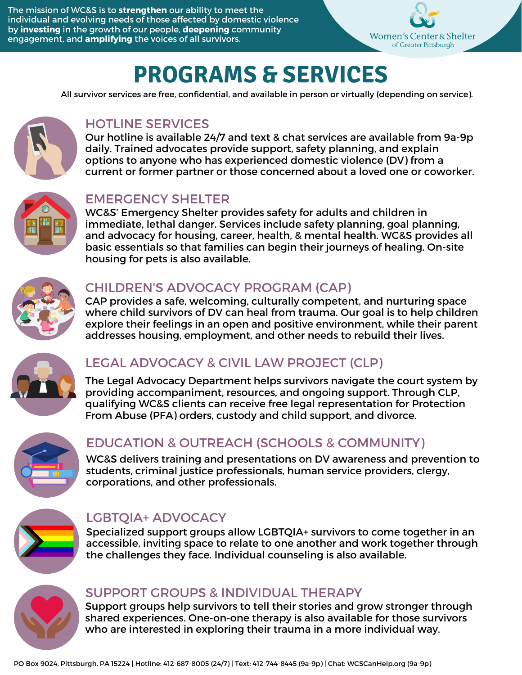The mission of WC&S is to **strengthen** our ability to meet the individual and evolving needs of those affected by domestic violence by **investing** in the growth of our people, **deepening** community engagement, and **amplifying** the voices of all survivors.



# **PROGRAMS & SERVICES**

All survivor services are free, confidential, and available in person or virtually (depending on service).



# HOTLINE SERVICES

Our hotline is available 24/7 and text & chat services are available from 9a-9p daily. Trained [advocates](https://video214.com/play/Ac5v4Uz4EVeu1yGXQEkaRw/s/dark) provide support, safety planning, and explain options to anyone who has experienced domestic violence (DV) from a current or former partner or those concerned about a loved one or coworker.



## EMERGENCY SHELTER

WC&S' Emergency Shelter provides safety for adults and children in immediate, lethal danger. Services include safety planning, goal planning, and advocacy for housing, career, health, & mental health. WC&S provides all basic essentials so that families can begin their journeys of healing. On-site housing for pets is also available.



### CHILDREN'S ADVOCACY PROGRAM (CAP)

CAP provides a safe, welcoming, culturally competent, and nurturing space where child survivors of DV can heal from trauma. Our goal is to help children explore their feelings in an open and positive environment, while their parent addresses housing, employment, and other needs to rebuild their lives.



# LEGAL ADVOCACY & CIVIL LAW PROJECT (CLP)

The Legal Advocacy Department helps survivors navigate the court system by providing accompaniment, resources, and ongoing support. Through CLP, qualifying WC&S clients can receive free legal representation for Protection From Abuse (PFA) orders, custody and child support, and divorce.



# EDUCATION & OUTREACH (SCHOOLS & COMMUNITY)

WC&S delivers training and presentations on DV awareness and prevention to students, criminal justice professionals, human service providers, clergy, corporations, and other professionals.



# LGBTQIA+ ADVOCACY

Specialized support groups allow [LGBT](https://www.wcspittsburgh.org/abuse-is-abuse-recognizing-domestic-violence-in-lgbtq-relationships/)QIA+ [survivors](https://www.wcspittsburgh.org/abuse-is-abuse-recognizing-domestic-violence-in-lgbtq-relationships/) to come together in an accessible, inviting space to relate to one another and work together through the challenges they face. Individual counseling is also available.

### SUPPORT GROUPS & INDIVIDUAL THERAPY

Support groups help survivors to tell their stories and grow stronger through shared experiences. One-on-one therapy is also available for those survivors who are interested in exploring their trauma in a more individual way.